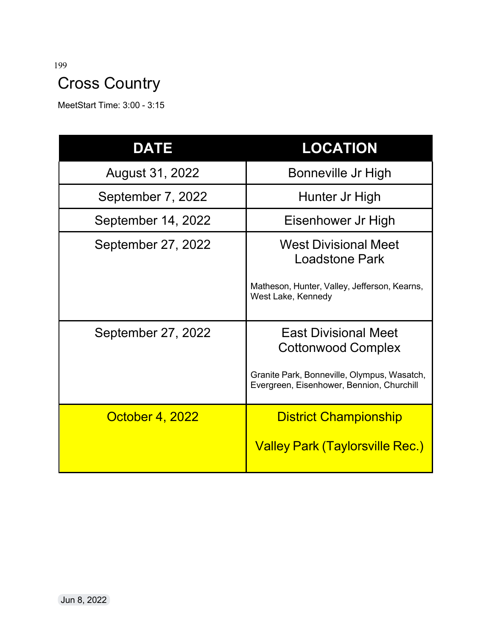# Cross Country

MeetStart Time: 3:00 - 3:15

| <b>DATE</b>            | <b>LOCATION</b>                                                                                                                                      |
|------------------------|------------------------------------------------------------------------------------------------------------------------------------------------------|
| August 31, 2022        | Bonneville Jr High                                                                                                                                   |
| September 7, 2022      | Hunter Jr High                                                                                                                                       |
| September 14, 2022     | Eisenhower Jr High                                                                                                                                   |
| September 27, 2022     | <b>West Divisional Meet</b><br><b>Loadstone Park</b><br>Matheson, Hunter, Valley, Jefferson, Kearns,<br>West Lake, Kennedy                           |
| September 27, 2022     | <b>East Divisional Meet</b><br><b>Cottonwood Complex</b><br>Granite Park, Bonneville, Olympus, Wasatch,<br>Evergreen, Eisenhower, Bennion, Churchill |
| <b>October 4, 2022</b> | <b>District Championship</b><br><b>Valley Park (Taylorsville Rec.)</b>                                                                               |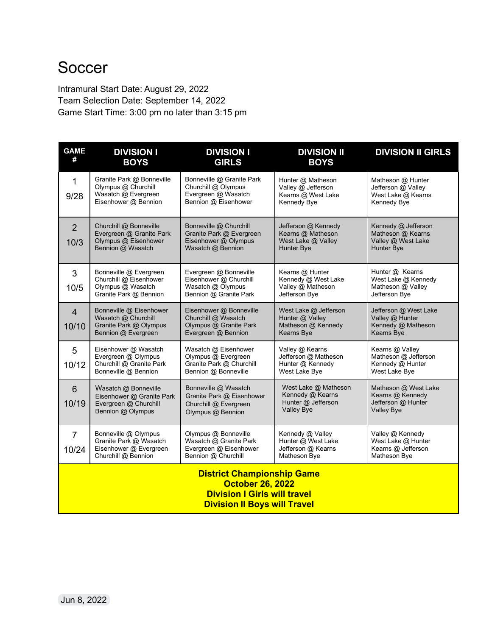### **Soccer**

Intramural Start Date: August 29, 2022 Team Selection Date: September 14, 2022 Game Start Time: 3:00 pm no later than 3:15 pm

| <b>GAME</b><br>#                                                                                                                           | <b>DIVISION I</b><br><b>BOYS</b>                                                                | <b>DIVISION I</b><br><b>GIRLS</b>                                                                                                                                               | <b>DIVISION II</b><br><b>BOYS</b>                                                   | <b>DIVISION II GIRLS</b>                                                            |
|--------------------------------------------------------------------------------------------------------------------------------------------|-------------------------------------------------------------------------------------------------|---------------------------------------------------------------------------------------------------------------------------------------------------------------------------------|-------------------------------------------------------------------------------------|-------------------------------------------------------------------------------------|
| $\mathbf{1}$<br>9/28                                                                                                                       | Granite Park @ Bonneville<br>Olympus @ Churchill<br>Wasatch @ Evergreen<br>Eisenhower @ Bennion | Bonneville @ Granite Park<br>Churchill @ Olympus<br>Evergreen @ Wasatch<br>Bennion @ Eisenhower                                                                                 | Hunter @ Matheson<br>Valley @ Jefferson<br>Kearns @ West Lake<br>Kennedy Bye        | Matheson @ Hunter<br>Jefferson @ Valley<br>West Lake @ Kearns<br>Kennedy Bye        |
| $\overline{2}$<br>10/3                                                                                                                     | Churchill @ Bonneville<br>Evergreen @ Granite Park<br>Olympus @ Eisenhower<br>Bennion @ Wasatch | Jefferson @ Kennedy<br>Bonneville @ Churchill<br>Granite Park @ Evergreen<br>Kearns @ Matheson<br>Eisenhower @ Olympus<br>West Lake @ Valley<br>Wasatch @ Bennion<br>Hunter Bye |                                                                                     | Kennedy @ Jefferson<br>Matheson @ Kearns<br>Valley @ West Lake<br><b>Hunter Bye</b> |
| 3<br>10/5                                                                                                                                  | Bonneville @ Evergreen<br>Churchill @ Eisenhower<br>Olympus @ Wasatch<br>Granite Park @ Bennion | Evergreen @ Bonneville<br>Eisenhower @ Churchill<br>Wasatch @ Olympus<br>Bennion @ Granite Park                                                                                 | Kearns @ Hunter<br>Kennedy @ West Lake<br>Valley @ Matheson<br>Jefferson Bye        | Hunter @ Kearns<br>West Lake @ Kennedy<br>Matheson @ Valley<br>Jefferson Bye        |
| $\overline{4}$<br>10/10                                                                                                                    | Bonneville @ Eisenhower<br>Wasatch @ Churchill<br>Granite Park @ Olympus<br>Bennion @ Evergreen | Eisenhower @ Bonneville<br>Churchill @ Wasatch<br>Olympus @ Granite Park<br>Evergreen @ Bennion                                                                                 | West Lake @ Jefferson<br>Hunter @ Valley<br>Matheson @ Kennedy<br>Kearns Bye        | Jefferson @ West Lake<br>Valley @ Hunter<br>Kennedy @ Matheson<br><b>Kearns Bye</b> |
| 5<br>10/12                                                                                                                                 | Eisenhower @ Wasatch<br>Evergreen @ Olympus<br>Churchill @ Granite Park<br>Bonneville @ Bennion | Wasatch @ Eisenhower<br>Olympus @ Evergreen<br>Granite Park @ Churchill<br>Bennion @ Bonneville                                                                                 | Valley @ Kearns<br>Jefferson @ Matheson<br>Hunter @ Kennedy<br>West Lake Bye        | Kearns @ Valley<br>Matheson @ Jefferson<br>Kennedy @ Hunter<br>West Lake Bye        |
| $6\phantom{1}$<br>10/19                                                                                                                    | Wasatch @ Bonneville<br>Eisenhower @ Granite Park<br>Evergreen @ Churchill<br>Bennion @ Olympus | Bonneville @ Wasatch<br>Granite Park @ Eisenhower<br>Churchill @ Evergreen<br>Olympus @ Bennion                                                                                 | West Lake @ Matheson<br>Kennedy @ Kearns<br>Hunter @ Jefferson<br><b>Valley Bye</b> | Matheson @ West Lake<br>Kearns @ Kennedy<br>Jefferson @ Hunter<br><b>Valley Bye</b> |
| $\overline{7}$<br>10/24                                                                                                                    | Bonneville @ Olympus<br>Granite Park @ Wasatch<br>Eisenhower @ Evergreen<br>Churchill @ Bennion | Olympus @ Bonneville<br>Wasatch @ Granite Park<br>Evergreen @ Eisenhower<br>Bennion @ Churchill                                                                                 | Kennedy @ Valley<br>Hunter @ West Lake<br>Jefferson @ Kearns<br>Matheson Bye        | Valley @ Kennedy<br>West Lake @ Hunter<br>Kearns @ Jefferson<br>Matheson Bye        |
| <b>District Championship Game</b><br><b>October 26, 2022</b><br><b>Division I Girls will travel</b><br><b>Division II Boys will Travel</b> |                                                                                                 |                                                                                                                                                                                 |                                                                                     |                                                                                     |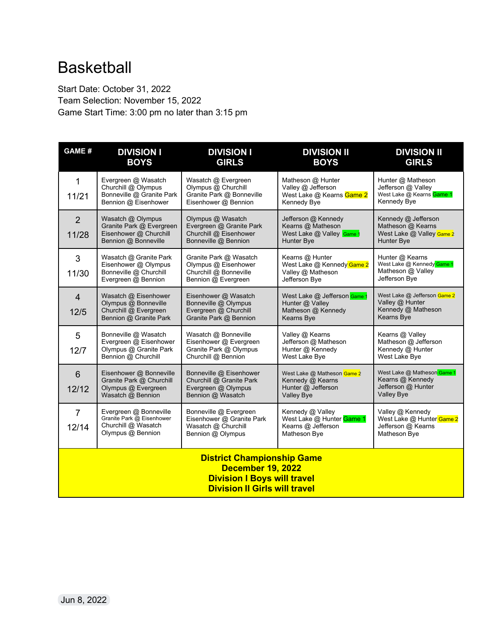## Basketball

Start Date: October 31, 2022 Team Selection: November 15, 2022 Game Start Time: 3:00 pm no later than 3:15 pm

| <b>GAME#</b>                                                                                                                                | <b>DIVISION I</b><br><b>BOYS</b>                                                                | <b>DIVISION I</b><br><b>GIRLS</b>                                                                                                                                                      | <b>DIVISION II</b><br><b>BOYS</b>                                                          | <b>DIVISION II</b><br><b>GIRLS</b>                                                         |
|---------------------------------------------------------------------------------------------------------------------------------------------|-------------------------------------------------------------------------------------------------|----------------------------------------------------------------------------------------------------------------------------------------------------------------------------------------|--------------------------------------------------------------------------------------------|--------------------------------------------------------------------------------------------|
| $\mathbf{1}$<br>11/21                                                                                                                       | Evergreen @ Wasatch<br>Churchill @ Olympus<br>Bonneville @ Granite Park<br>Bennion @ Eisenhower | Wasatch @ Evergreen<br>Olympus @ Churchill<br>Granite Park @ Bonneville<br>Eisenhower @ Bennion                                                                                        | Matheson @ Hunter<br>Valley @ Jefferson<br>West Lake @ Kearns Game 2<br>Kennedy Bye        | Hunter @ Matheson<br>Jefferson @ Valley<br>West Lake @ Kearns Game 1<br>Kennedy Bye        |
| $\overline{2}$<br>11/28                                                                                                                     | Wasatch @ Olympus<br>Granite Park @ Evergreen<br>Eisenhower @ Churchill<br>Bennion @ Bonneville | Olympus @ Wasatch<br>Evergreen @ Granite Park<br>Churchill @ Eisenhower<br>Bonneville @ Bennion                                                                                        | Jefferson @ Kennedy<br>Kearns @ Matheson<br>West Lake @ Valley Game 1<br>Hunter Bye        | Kennedy @ Jefferson<br>Matheson @ Kearns<br>West Lake @ Valley Game 2<br>Hunter Bye        |
| 3<br>11/30                                                                                                                                  | Wasatch @ Granite Park<br>Eisenhower @ Olympus<br>Bonneville @ Churchill<br>Evergreen @ Bennion | Granite Park @ Wasatch<br>Olympus @ Eisenhower<br>Churchill @ Bonneville<br>Bennion @ Evergreen                                                                                        | Kearns @ Hunter<br>West Lake @ Kennedy Game 2<br>Valley @ Matheson<br>Jefferson Bye        | Hunter @ Kearns<br>West Lake @ Kennedy Game 1<br>Matheson @ Valley<br>Jefferson Bye        |
| $\overline{4}$<br>12/5                                                                                                                      | Wasatch @ Eisenhower<br>Olympus @ Bonneville<br>Churchill @ Evergreen<br>Bennion @ Granite Park | Eisenhower @ Wasatch<br>West Lake @ Jefferson Game 1<br>Hunter @ Valley<br>Bonneville @ Olympus<br>Evergreen @ Churchill<br>Matheson @ Kennedy<br>Granite Park @ Bennion<br>Kearns Bye |                                                                                            | West Lake @ Jefferson Game 2<br>Valley @ Hunter<br>Kennedy @ Matheson<br>Kearns Bye        |
| 5<br>12/7                                                                                                                                   | Bonneville @ Wasatch<br>Evergreen @ Eisenhower<br>Olympus @ Granite Park<br>Bennion @ Churchill | Wasatch @ Bonneville<br>Eisenhower @ Evergreen<br>Granite Park @ Olympus<br>Churchill @ Bennion                                                                                        | Valley @ Kearns<br>Jefferson @ Matheson<br>Hunter @ Kennedy<br>West Lake Bye               | Kearns @ Valley<br>Matheson @ Jefferson<br>Kennedy @ Hunter<br>West Lake Bye               |
| $6\phantom{1}6$<br>12/12                                                                                                                    | Eisenhower @ Bonneville<br>Granite Park @ Churchill<br>Olympus @ Evergreen<br>Wasatch @ Bennion | Bonneville @ Eisenhower<br>Churchill @ Granite Park<br>Evergreen @ Olympus<br>Bennion @ Wasatch                                                                                        | West Lake @ Matheson Game 2<br>Kennedy @ Kearns<br>Hunter @ Jefferson<br><b>Valley Bye</b> | West Lake @ Matheson Game 1<br>Kearns @ Kennedy<br>Jefferson @ Hunter<br><b>Valley Bye</b> |
| $\overline{7}$<br>12/14                                                                                                                     | Evergreen @ Bonneville<br>Granite Park @ Eisenhower<br>Churchill @ Wasatch<br>Olympus @ Bennion | Bonneville @ Evergreen<br>Eisenhower @ Granite Park<br>Wasatch @ Churchill<br>Bennion @ Olympus                                                                                        | Kennedy @ Valley<br>West Lake @ Hunter Game 1<br>Kearns @ Jefferson<br>Matheson Bye        | Valley @ Kennedy<br>West Lake @ Hunter Game 2<br>Jefferson @ Kearns<br>Matheson Bye        |
| <b>District Championship Game</b><br><b>December 19, 2022</b><br><b>Division I Boys will travel</b><br><b>Division II Girls will travel</b> |                                                                                                 |                                                                                                                                                                                        |                                                                                            |                                                                                            |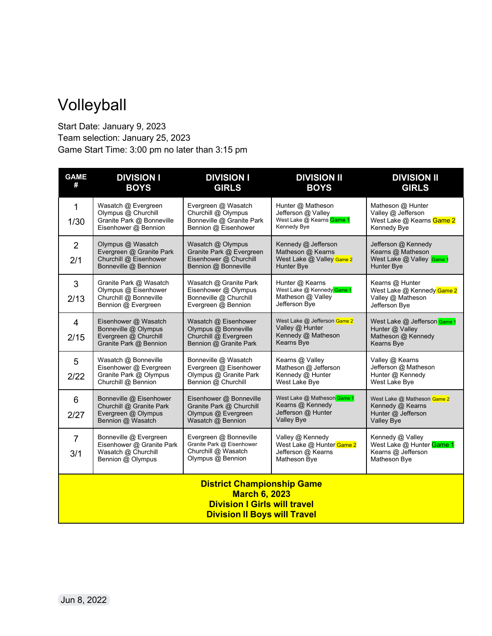## Volleyball

Start Date: January 9, 2023 Team selection: January 25, 2023 Game Start Time: 3:00 pm no later than 3:15 pm

| <b>GAME</b><br>#                                                                                                                        | <b>DIVISION I</b><br><b>BOYS</b>                                                                | <b>DIVISION I</b><br><b>GIRLS</b>                                                                                                                                                      | <b>DIVISION II</b><br><b>BOYS</b>                                                          | <b>DIVISION II</b><br><b>GIRLS</b>                                                  |
|-----------------------------------------------------------------------------------------------------------------------------------------|-------------------------------------------------------------------------------------------------|----------------------------------------------------------------------------------------------------------------------------------------------------------------------------------------|--------------------------------------------------------------------------------------------|-------------------------------------------------------------------------------------|
| $\mathbf{1}$<br>1/30                                                                                                                    | Wasatch @ Evergreen<br>Olympus @ Churchill<br>Granite Park @ Bonneville<br>Eisenhower @ Bennion | Evergreen @ Wasatch<br>Churchill @ Olympus<br>Bonneville @ Granite Park<br>Bennion @ Eisenhower                                                                                        | Hunter @ Matheson<br>Jefferson @ Valley<br>West Lake @ Kearns Game 1<br>Kennedy Bye        | Matheson @ Hunter<br>Valley @ Jefferson<br>West Lake @ Kearns Game 2<br>Kennedy Bye |
| $\overline{2}$<br>2/1                                                                                                                   | Olympus @ Wasatch<br>Evergreen @ Granite Park<br>Churchill @ Eisenhower<br>Bonneville @ Bennion | Wasatch @ Olympus<br>Kennedy @ Jefferson<br>Granite Park @ Evergreen<br>Matheson @ Kearns<br>Eisenhower @ Churchill<br>West Lake @ Valley Game 2<br>Bennion @ Bonneville<br>Hunter Bye |                                                                                            | Jefferson @ Kennedy<br>Kearns @ Matheson<br>West Lake @ Valley Game 1<br>Hunter Bye |
| 3<br>2/13                                                                                                                               | Granite Park @ Wasatch<br>Olympus @ Eisenhower<br>Churchill @ Bonneville<br>Bennion @ Evergreen | Wasatch @ Granite Park<br>Eisenhower @ Olympus<br>Bonneville @ Churchill<br>Evergreen @ Bennion                                                                                        | Hunter @ Kearns<br>West Lake @ Kennedy Game 1<br>Matheson @ Valley<br>Jefferson Bye        | Kearns @ Hunter<br>West Lake @ Kennedy Game 2<br>Valley @ Matheson<br>Jefferson Bye |
| $\overline{4}$<br>2/15                                                                                                                  | Eisenhower @ Wasatch<br>Bonneville @ Olympus<br>Evergreen @ Churchill<br>Granite Park @ Bennion | Wasatch @ Eisenhower<br>Olympus @ Bonneville<br>Churchill @ Evergreen<br>Bennion @ Granite Park                                                                                        | West Lake @ Jefferson Game 2<br>Valley @ Hunter<br>Kennedy @ Matheson<br>Kearns Bye        | West Lake @ Jefferson Game 1<br>Hunter @ Valley<br>Matheson @ Kennedy<br>Kearns Bye |
| 5<br>2/22                                                                                                                               | Wasatch @ Bonneville<br>Eisenhower @ Evergreen<br>Granite Park @ Olympus<br>Churchill @ Bennion | Bonneville @ Wasatch<br>Evergreen @ Eisenhower<br>Olympus @ Granite Park<br>Bennion @ Churchill                                                                                        | Kearns @ Valley<br>Matheson @ Jefferson<br>Kennedy @ Hunter<br>West Lake Bye               | Valley @ Kearns<br>Jefferson @ Matheson<br>Hunter @ Kennedy<br>West Lake Bye        |
| $\,6$<br>2/27                                                                                                                           | Bonneville @ Eisenhower<br>Churchill @ Granite Park<br>Evergreen @ Olympus<br>Bennion @ Wasatch | Eisenhower @ Bonneville<br>Granite Park @ Churchill<br>Olympus @ Evergreen<br>Wasatch @ Bennion                                                                                        | West Lake @ Matheson Game 1<br>Kearns @ Kennedy<br>Jefferson @ Hunter<br><b>Valley Bye</b> | West Lake @ Matheson Game 2<br>Kennedy @ Kearns<br>Hunter @ Jefferson<br>Valley Bye |
| $\overline{7}$<br>3/1                                                                                                                   | Bonneville @ Evergreen<br>Eisenhower @ Granite Park<br>Wasatch @ Churchill<br>Bennion @ Olympus | Evergreen @ Bonneville<br>Granite Park @ Eisenhower<br>Churchill @ Wasatch<br>Olympus @ Bennion                                                                                        | Valley @ Kennedy<br>West Lake @ Hunter Game 2<br>Jefferson @ Kearns<br>Matheson Bye        | Kennedy @ Valley<br>West Lake @ Hunter Game 1<br>Kearns @ Jefferson<br>Matheson Bye |
| <b>District Championship Game</b><br><b>March 6, 2023</b><br><b>Division I Girls will travel</b><br><b>Division II Boys will Travel</b> |                                                                                                 |                                                                                                                                                                                        |                                                                                            |                                                                                     |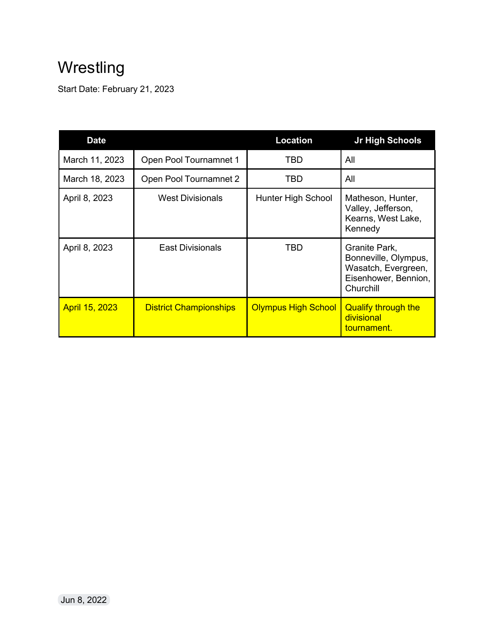## **Wrestling**

Start Date: February 21, 2023

| <b>Date</b>           |                               | <b>Location</b>            | Jr High Schools                                                                                   |
|-----------------------|-------------------------------|----------------------------|---------------------------------------------------------------------------------------------------|
| March 11, 2023        | Open Pool Tournamnet 1        | TBD                        | All                                                                                               |
| March 18, 2023        | Open Pool Tournamnet 2        | TBD                        | All                                                                                               |
| April 8, 2023         | <b>West Divisionals</b>       | Hunter High School         | Matheson, Hunter,<br>Valley, Jefferson,<br>Kearns, West Lake,<br>Kennedy                          |
| April 8, 2023         | <b>East Divisionals</b>       | TBD                        | Granite Park,<br>Bonneville, Olympus,<br>Wasatch, Evergreen,<br>Eisenhower, Bennion,<br>Churchill |
| <b>April 15, 2023</b> | <b>District Championships</b> | <b>Olympus High School</b> | <b>Qualify through the</b><br>divisional<br>tournament.                                           |